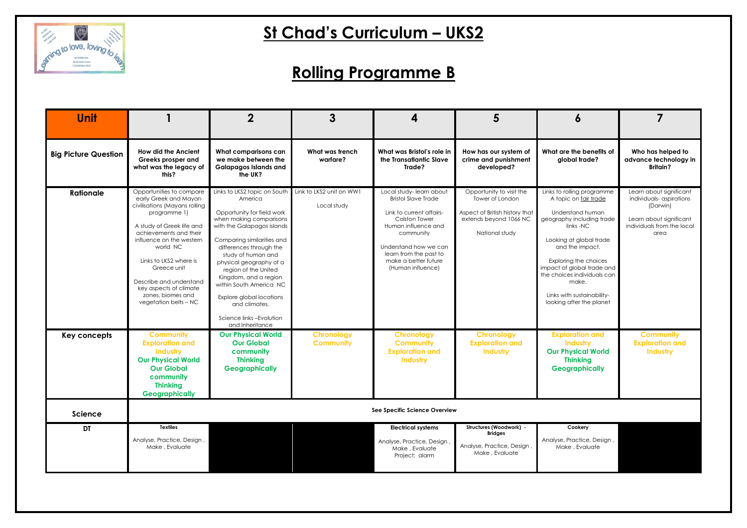

### **Rolling Programme B**

| <b>Unit</b>                 |                                                                                                                                                                                                                                                                                                                                               | $\mathbf 2$                                                                                                                                                                                                                                                                                                                                                                                                     | 3                                       | 4                                                                                                                                                                                                                                             | 5                                                                                                                         | 6                                                                                                                                                                                                                                                                                                                        |                                                                                                                                 |
|-----------------------------|-----------------------------------------------------------------------------------------------------------------------------------------------------------------------------------------------------------------------------------------------------------------------------------------------------------------------------------------------|-----------------------------------------------------------------------------------------------------------------------------------------------------------------------------------------------------------------------------------------------------------------------------------------------------------------------------------------------------------------------------------------------------------------|-----------------------------------------|-----------------------------------------------------------------------------------------------------------------------------------------------------------------------------------------------------------------------------------------------|---------------------------------------------------------------------------------------------------------------------------|--------------------------------------------------------------------------------------------------------------------------------------------------------------------------------------------------------------------------------------------------------------------------------------------------------------------------|---------------------------------------------------------------------------------------------------------------------------------|
| <b>Big Picture Question</b> | <b>How did the Ancient</b><br>Greeks prosper and<br>what was the legacy of<br>this?                                                                                                                                                                                                                                                           | What comparisons can<br>we make between the<br><b>Galapagos Islands and</b><br>the UK?                                                                                                                                                                                                                                                                                                                          | What was trench<br>warfare?             | What was Bristol's role in<br>the Transatlantic Slave<br>Trade?                                                                                                                                                                               | How has our system of<br>crime and punishment<br>developed?                                                               | What are the benefits of<br>global trade?                                                                                                                                                                                                                                                                                | Who has helped to<br>advance technology in<br><b>Britain?</b>                                                                   |
| <b>Rationale</b>            | Opportunities to compare<br>early Greek and Mayan<br>civilisations (Mayans rolling<br>programme 1)<br>A study of Greek life and<br>achievements and their<br>influence on the western<br>world NC<br>Links to LKS2 where is<br>Greece unit<br>Describe and understand<br>key aspects of climate<br>zones, biomes and<br>vegetation belts - NC | Links to LKS2 topic on South<br>America<br>Opportunity for field work<br>when making comparisons<br>with the Galapagos islands<br>Comparing similarities and<br>differences through the<br>study of human and<br>physical geography of a<br>region of the United<br>Kingdom, and a region<br>within South America NC<br>Explore global locations<br>and climates.<br>Science links-Evolution<br>and Inheritance | Link to LKS2 unit on WW1<br>Local study | Local study-learn about<br><b>Bristol Slave Trade</b><br>Link to current affairs-<br><b>Colston Tower</b><br>Human influence and<br>community<br>Understand how we can<br>learn from the past to<br>make a better future<br>(Human influence) | Opportunity to visit the<br>Tower of London<br>Aspect of British history that<br>extends beyond 1066 NC<br>National study | Links to rolling programme<br>A topic on fair trade<br>Understand human<br>geography including trade<br>links -NC<br>Looking at global trade<br>and the impact.<br>Exploring the choices<br>impact of global trade and<br>the choices individuals can<br>make.<br>Links with sustainability-<br>looking after the planet | Learn about significant<br>individuals-aspirations<br>(Darwin)<br>Learn about significant<br>individuals from the local<br>area |
| Key concepts                | <b>Community</b><br><b>Exploration and</b><br><b>Industry</b><br><b>Our Physical World</b><br><b>Our Global</b><br>community<br><b>Thinking</b><br><b>Geographically</b>                                                                                                                                                                      | <b>Our Physical World</b><br><b>Our Global</b><br>community<br><b>Thinking</b><br><b>Geographically</b>                                                                                                                                                                                                                                                                                                         | <b>Chronology</b><br><b>Community</b>   | <b>Chronology</b><br><b>Community</b><br><b>Exploration and</b><br>Industry                                                                                                                                                                   | <b>Chronology</b><br><b>Exploration and</b><br>Industry                                                                   | <b>Exploration and</b><br>Industry<br><b>Our Physical World</b><br><b>Thinking</b><br><b>Geographically</b>                                                                                                                                                                                                              | <b>Community</b><br><b>Exploration and</b><br>Industry                                                                          |
| <b>Science</b>              |                                                                                                                                                                                                                                                                                                                                               |                                                                                                                                                                                                                                                                                                                                                                                                                 |                                         | See Specific Science Overview                                                                                                                                                                                                                 |                                                                                                                           |                                                                                                                                                                                                                                                                                                                          |                                                                                                                                 |
| DT                          | <b>Textiles</b><br>Analyse, Practice, Design,<br>Make, Evaluate                                                                                                                                                                                                                                                                               |                                                                                                                                                                                                                                                                                                                                                                                                                 |                                         | <b>Electrical systems</b><br>Analyse, Practice, Design<br>Make, Evaluate<br>Project: alarm                                                                                                                                                    | Structures (Woodwork) -<br><b>Bridges</b><br>Analyse, Practice, Design,<br>Make, Evaluate                                 | Cookery<br>Analyse, Practice, Design,<br>Make, Evaluate                                                                                                                                                                                                                                                                  |                                                                                                                                 |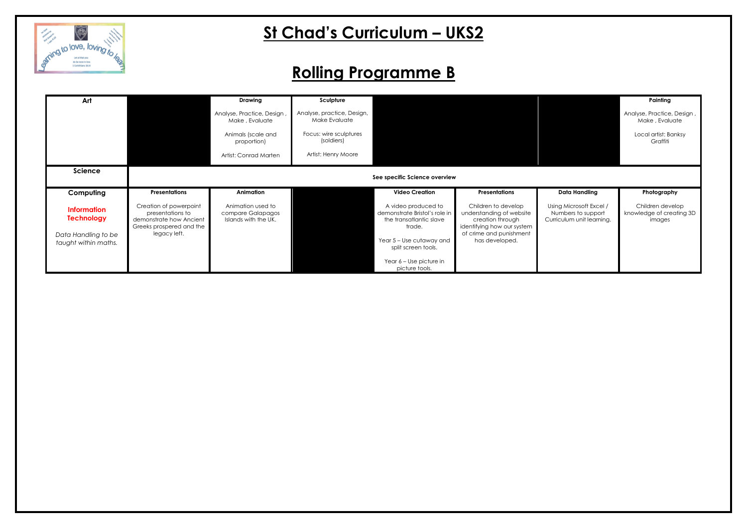

### **Rolling Programme B**

| Art                                                                                    |                                                                                                                   | <b>Drawing</b>                                                 | Sculpture                                   |                                                                                                                                                                         |                                                                                                                                                |                         |
|----------------------------------------------------------------------------------------|-------------------------------------------------------------------------------------------------------------------|----------------------------------------------------------------|---------------------------------------------|-------------------------------------------------------------------------------------------------------------------------------------------------------------------------|------------------------------------------------------------------------------------------------------------------------------------------------|-------------------------|
|                                                                                        |                                                                                                                   | Analyse, Practice, Design,<br>Make, Evaluate                   | Analyse, practice, Design,<br>Make Evaluate |                                                                                                                                                                         |                                                                                                                                                |                         |
|                                                                                        |                                                                                                                   | Animals (scale and<br>proportion)                              | Focus: wire sculptures<br>(soldiers)        |                                                                                                                                                                         |                                                                                                                                                |                         |
|                                                                                        |                                                                                                                   | Artist: Conrad Marten                                          | Artist: Henry Moore                         |                                                                                                                                                                         |                                                                                                                                                |                         |
| <b>Science</b>                                                                         |                                                                                                                   |                                                                |                                             | See specific Science overview                                                                                                                                           |                                                                                                                                                |                         |
| Computing                                                                              | <b>Presentations</b>                                                                                              | Animation                                                      |                                             | <b>Video Creation</b>                                                                                                                                                   | <b>Presentations</b>                                                                                                                           | D)                      |
| <b>Information</b><br><b>Technology</b><br>Data Handling to be<br>taught within maths. | Creation of powerpoint<br>presentations to<br>demonstrate how Ancient<br>Greeks prospered and the<br>legacy left. | Animation used to<br>compare Galapagos<br>Islands with the UK. |                                             | A video produced to<br>demonstrate Bristol's role in<br>the transatiantic slave<br>trade.<br>Year 5 - Use cutaway and<br>split screen tools.<br>Year 6 - Use picture in | Children to develop<br>understanding of website<br>creation through<br>identifying how our system<br>of crime and punishment<br>has developed. | Using<br>Num<br>Curricu |
|                                                                                        |                                                                                                                   |                                                                |                                             | picture tools.                                                                                                                                                          |                                                                                                                                                |                         |

|                                                                            | Painting                                               |
|----------------------------------------------------------------------------|--------------------------------------------------------|
|                                                                            | Analyse, Practice, Design,<br>Make, Evaluate           |
|                                                                            | Local artist: Banksy<br>Graffiti                       |
|                                                                            |                                                        |
|                                                                            |                                                        |
|                                                                            |                                                        |
| <b>Data Handling</b>                                                       | Photography                                            |
| Using Microsoft Excel /<br>Numbers to support<br>Curriculum unit learning. | Children develop<br>knowledge of creating 3D<br>images |
|                                                                            |                                                        |
|                                                                            |                                                        |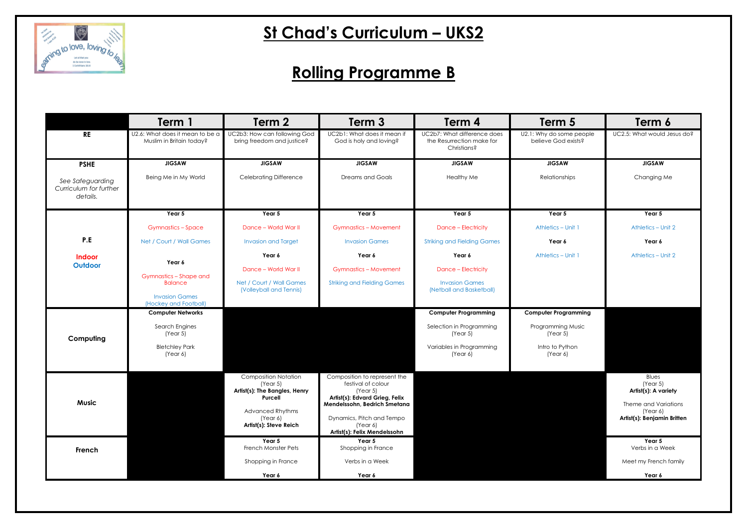

### **Rolling Programme B**

|                                                        | Term 1                                                      | Term 2                                                                                                                                               | Term 3                                                                                                                                                                                                    | Term 4                                                                  | Term 5                                          | Term 6                                                                                                       |
|--------------------------------------------------------|-------------------------------------------------------------|------------------------------------------------------------------------------------------------------------------------------------------------------|-----------------------------------------------------------------------------------------------------------------------------------------------------------------------------------------------------------|-------------------------------------------------------------------------|-------------------------------------------------|--------------------------------------------------------------------------------------------------------------|
| <b>RE</b>                                              | U2.6: What does it mean to be a<br>Muslim in Britain today? | UC2b3: How can following God<br>bring freedom and justice?                                                                                           | UC2b1: What does it mean if<br>God is holy and loving?                                                                                                                                                    | UC2b7: What difference does<br>the Resurrection make for<br>Christians? | U2.1: Why do some people<br>believe God exists? | UC2.5: What would Jesus do?                                                                                  |
| <b>PSHE</b>                                            | <b>JIGSAW</b>                                               | <b>JIGSAW</b>                                                                                                                                        | <b>JIGSAW</b>                                                                                                                                                                                             | <b>JIGSAW</b>                                                           | <b>JIGSAW</b>                                   | <b>JIGSAW</b>                                                                                                |
| See Safeguarding<br>Curriculum for further<br>details. | Being Me in My World                                        | <b>Celebrating Difference</b>                                                                                                                        | <b>Dreams and Goals</b>                                                                                                                                                                                   | <b>Healthy Me</b>                                                       | Relationships                                   | Changing Me                                                                                                  |
|                                                        | Year 5                                                      | Year 5                                                                                                                                               | Year 5                                                                                                                                                                                                    | Year 5                                                                  | Year 5                                          | Year 5                                                                                                       |
|                                                        | <b>Gymnastics - Space</b>                                   | Dance - World War II                                                                                                                                 | <b>Gymnastics - Movement</b>                                                                                                                                                                              | Dance - Electricity                                                     | Athletics - Unit 1                              | Athletics - Unit 2                                                                                           |
| P.E                                                    | Net / Court / Wall Games                                    | <b>Invasion and Target</b>                                                                                                                           | <b>Invasion Games</b>                                                                                                                                                                                     | <b>Striking and Fielding Games</b>                                      | Year 6                                          | Year 6                                                                                                       |
| <b>Indoor</b>                                          |                                                             | Year 6                                                                                                                                               | Year 6                                                                                                                                                                                                    | Year 6                                                                  | Athletics - Unit 1                              | Athletics - Unit 2                                                                                           |
| Outdoor                                                | Year 6                                                      | Dance - World War II                                                                                                                                 | <b>Gymnastics - Movement</b>                                                                                                                                                                              | <b>Dance - Electricity</b>                                              |                                                 |                                                                                                              |
|                                                        | <b>Gymnastics - Shape and</b><br><b>Balance</b>             | Net / Court / Wall Games<br>(Volleyball and Tennis)                                                                                                  | <b>Striking and Fielding Games</b>                                                                                                                                                                        | <b>Invasion Games</b><br>(Netball and Basketball)                       |                                                 |                                                                                                              |
|                                                        | <b>Invasion Games</b><br>(Hockey and Football)              |                                                                                                                                                      |                                                                                                                                                                                                           |                                                                         |                                                 |                                                                                                              |
|                                                        | <b>Computer Networks</b>                                    |                                                                                                                                                      |                                                                                                                                                                                                           | <b>Computer Programming</b>                                             | <b>Computer Programming</b>                     |                                                                                                              |
| Computing                                              | Search Engines<br>(Year 5)                                  |                                                                                                                                                      |                                                                                                                                                                                                           | Selection in Programming<br>(Year 5)                                    | Programming Music<br>(Year 5)                   |                                                                                                              |
|                                                        | <b>Bletchley Park</b><br>(Year 6)                           |                                                                                                                                                      |                                                                                                                                                                                                           | Variables in Programming<br>(Year 6)                                    | Intro to Python<br>(Year 6)                     |                                                                                                              |
| <b>Music</b>                                           |                                                             | <b>Composition Notation</b><br>(Year 5)<br>Artist(s): The Bangles, Henry<br>Purcell<br><b>Advanced Rhythms</b><br>(Year 6)<br>Artist(s): Steve Reich | Composition to represent the<br>festival of colour<br>(Year 5)<br>Artist(s): Edvard Grieg, Felix<br>Mendelssohn, Bedrich Smetana<br>Dynamics, Pitch and Tempo<br>(Year 6)<br>Artist(s): Felix Mendelssohn |                                                                         |                                                 | Blues<br>(Year 5)<br>Artist(s): A variety<br>Theme and Variations<br>(Year 6)<br>Artist(s): Benjamin Britten |
| French                                                 |                                                             | Year 5<br>French Monster Pets                                                                                                                        | Year 5<br>Shopping in France                                                                                                                                                                              |                                                                         |                                                 | Year 5<br>Verbs in a Week                                                                                    |
|                                                        |                                                             | Shopping in France                                                                                                                                   | Verbs in a Week                                                                                                                                                                                           |                                                                         |                                                 | Meet my French family                                                                                        |
|                                                        |                                                             | Year 6                                                                                                                                               | Year 6                                                                                                                                                                                                    |                                                                         |                                                 | Year 6                                                                                                       |